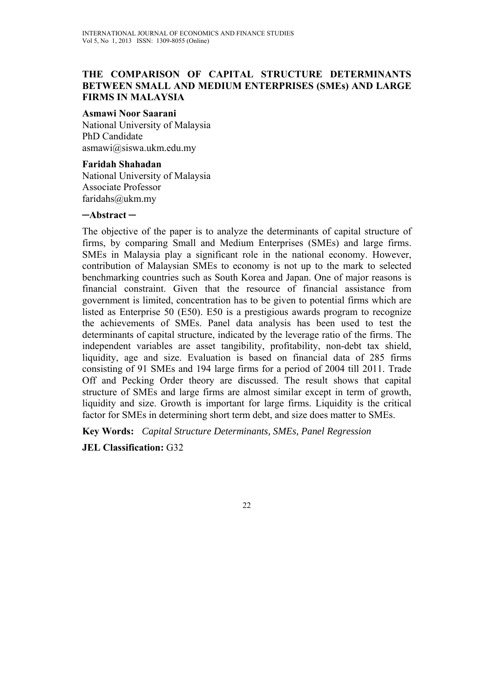### **THE COMPARISON OF CAPITAL STRUCTURE DETERMINANTS BETWEEN SMALL AND MEDIUM ENTERPRISES (SMEs) AND LARGE FIRMS IN MALAYSIA**

#### **Asmawi Noor Saarani**

National University of Malaysia PhD Candidate asmawi@siswa.ukm.edu.my

#### **Faridah Shahadan**

National University of Malaysia Associate Professor faridahs@ukm.my

#### **─Abstract ─**

The objective of the paper is to analyze the determinants of capital structure of firms, by comparing Small and Medium Enterprises (SMEs) and large firms. SMEs in Malaysia play a significant role in the national economy. However, contribution of Malaysian SMEs to economy is not up to the mark to selected benchmarking countries such as South Korea and Japan. One of major reasons is financial constraint. Given that the resource of financial assistance from government is limited, concentration has to be given to potential firms which are listed as Enterprise 50 (E50). E50 is a prestigious awards program to recognize the achievements of SMEs. Panel data analysis has been used to test the determinants of capital structure, indicated by the leverage ratio of the firms. The independent variables are asset tangibility, profitability, non-debt tax shield, liquidity, age and size. Evaluation is based on financial data of 285 firms consisting of 91 SMEs and 194 large firms for a period of 2004 till 2011. Trade Off and Pecking Order theory are discussed. The result shows that capital structure of SMEs and large firms are almost similar except in term of growth, liquidity and size. Growth is important for large firms. Liquidity is the critical factor for SMEs in determining short term debt, and size does matter to SMEs.

**Key Words:** *Capital Structure Determinants, SMEs, Panel Regression* 

**JEL Classification:** G32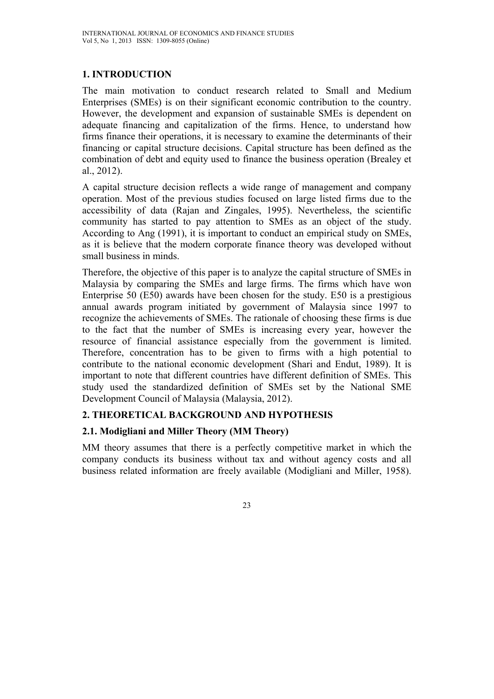# **1. INTRODUCTION**

The main motivation to conduct research related to Small and Medium Enterprises (SMEs) is on their significant economic contribution to the country. However, the development and expansion of sustainable SMEs is dependent on adequate financing and capitalization of the firms. Hence, to understand how firms finance their operations, it is necessary to examine the determinants of their financing or capital structure decisions. Capital structure has been defined as the combination of debt and equity used to finance the business operation (Brealey et al., 2012).

A capital structure decision reflects a wide range of management and company operation. Most of the previous studies focused on large listed firms due to the accessibility of data (Rajan and Zingales, 1995). Nevertheless, the scientific community has started to pay attention to SMEs as an object of the study. According to Ang (1991), it is important to conduct an empirical study on SMEs, as it is believe that the modern corporate finance theory was developed without small business in minds.

Therefore, the objective of this paper is to analyze the capital structure of SMEs in Malaysia by comparing the SMEs and large firms. The firms which have won Enterprise 50 (E50) awards have been chosen for the study. E50 is a prestigious annual awards program initiated by government of Malaysia since 1997 to recognize the achievements of SMEs. The rationale of choosing these firms is due to the fact that the number of SMEs is increasing every year, however the resource of financial assistance especially from the government is limited. Therefore, concentration has to be given to firms with a high potential to contribute to the national economic development (Shari and Endut, 1989). It is important to note that different countries have different definition of SMEs. This study used the standardized definition of SMEs set by the National SME Development Council of Malaysia (Malaysia, 2012).

# **2. THEORETICAL BACKGROUND AND HYPOTHESIS**

#### **2.1. Modigliani and Miller Theory (MM Theory)**

MM theory assumes that there is a perfectly competitive market in which the company conducts its business without tax and without agency costs and all business related information are freely available (Modigliani and Miller, 1958).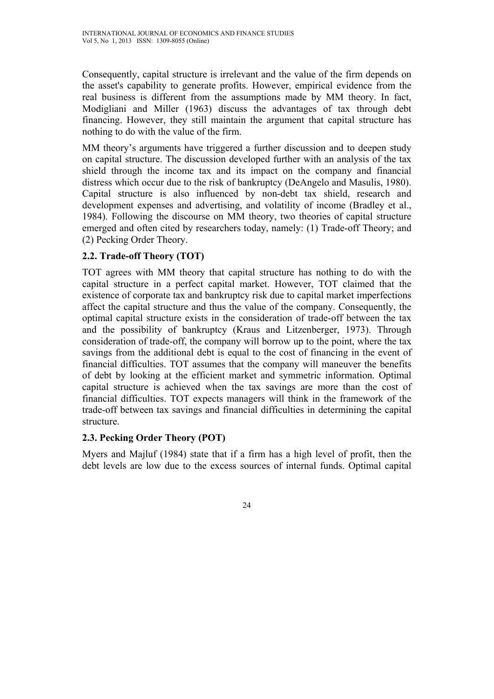Consequently, capital structure is irrelevant and the value of the firm depends on the asset's capability to generate profits. However, empirical evidence from the real business is different from the assumptions made by MM theory. In fact, Modigliani and Miller (1963) discuss the advantages of tax through debt financing. However, they still maintain the argument that capital structure has nothing to do with the value of the firm.

MM theory's arguments have triggered a further discussion and to deepen study on capital structure. The discussion developed further with an analysis of the tax shield through the income tax and its impact on the company and financial distress which occur due to the risk of bankruptcy (DeAngelo and Masulis, 1980). Capital structure is also influenced by non-debt tax shield, research and development expenses and advertising, and volatility of income (Bradley et al., 1984). Following the discourse on MM theory, two theories of capital structure emerged and often cited by researchers today, namely: (1) Trade-off Theory; and (2) Pecking Order Theory.

# **2.2. Trade-off Theory (TOT)**

TOT agrees with MM theory that capital structure has nothing to do with the capital structure in a perfect capital market. However, TOT claimed that the existence of corporate tax and bankruptcy risk due to capital market imperfections affect the capital structure and thus the value of the company. Consequently, the optimal capital structure exists in the consideration of trade-off between the tax and the possibility of bankruptcy (Kraus and Litzenberger, 1973). Through consideration of trade-off, the company will borrow up to the point, where the tax savings from the additional debt is equal to the cost of financing in the event of financial difficulties. TOT assumes that the company will maneuver the benefits of debt by looking at the efficient market and symmetric information. Optimal capital structure is achieved when the tax savings are more than the cost of financial difficulties. TOT expects managers will think in the framework of the trade-off between tax savings and financial difficulties in determining the capital structure.

# **2.3. Pecking Order Theory (POT)**

Myers and Majluf (1984) state that if a firm has a high level of profit, then the debt levels are low due to the excess sources of internal funds. Optimal capital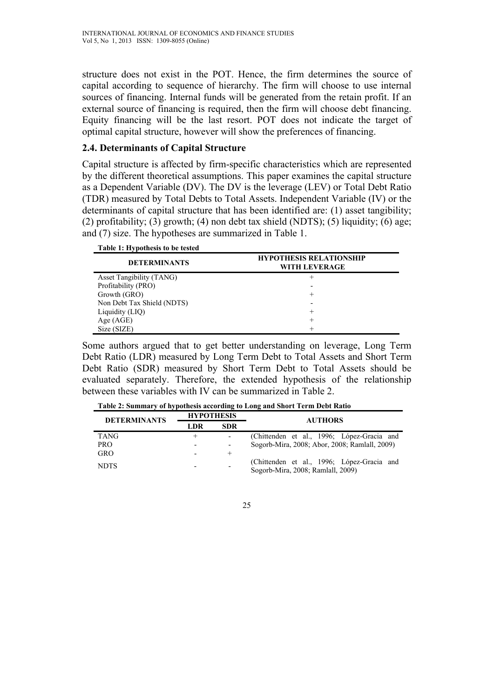structure does not exist in the POT. Hence, the firm determines the source of capital according to sequence of hierarchy. The firm will choose to use internal sources of financing. Internal funds will be generated from the retain profit. If an external source of financing is required, then the firm will choose debt financing. Equity financing will be the last resort. POT does not indicate the target of optimal capital structure, however will show the preferences of financing.

### **2.4. Determinants of Capital Structure**

Capital structure is affected by firm-specific characteristics which are represented by the different theoretical assumptions. This paper examines the capital structure as a Dependent Variable (DV). The DV is the leverage (LEV) or Total Debt Ratio (TDR) measured by Total Debts to Total Assets. Independent Variable (IV) or the determinants of capital structure that has been identified are: (1) asset tangibility; (2) profitability; (3) growth; (4) non debt tax shield (NDTS); (5) liquidity; (6) age; and (7) size. The hypotheses are summarized in Table 1.

| Table 1: Hypothesis to be tested |                                                        |
|----------------------------------|--------------------------------------------------------|
| <b>DETERMINANTS</b>              | <b>HYPOTHESIS RELATIONSHIP</b><br><b>WITH LEVERAGE</b> |
| Asset Tangibility (TANG)         | $^+$                                                   |
| Profitability (PRO)              |                                                        |
| Growth (GRO)                     | $^+$                                                   |
| Non Debt Tax Shield (NDTS)       |                                                        |
| Liquidity (LIQ)                  | $^{+}$                                                 |
| Age (AGE)                        | $^+$                                                   |
| Size (SIZE)                      | +                                                      |

Some authors argued that to get better understanding on leverage, Long Term Debt Ratio (LDR) measured by Long Term Debt to Total Assets and Short Term Debt Ratio (SDR) measured by Short Term Debt to Total Assets should be evaluated separately. Therefore, the extended hypothesis of the relationship between these variables with IV can be summarized in Table 2.

**Table 2: Summary of hypothesis according to Long and Short Term Debt Ratio** 

| <b>DETERMINANTS</b> | <b>HYPOTHESIS</b>        |            | <b>AUTHORS</b>                                                                  |  |
|---------------------|--------------------------|------------|---------------------------------------------------------------------------------|--|
|                     | LDR                      | <b>SDR</b> |                                                                                 |  |
| <b>TANG</b>         | $^+$                     |            | (Chittenden et al., 1996; López-Gracia and                                      |  |
| <b>PRO</b>          | $\overline{\phantom{a}}$ |            | Sogorb-Mira, 2008; Abor, 2008; Ramlall, 2009)                                   |  |
| GRO                 | $\overline{\phantom{0}}$ | $\pm$      |                                                                                 |  |
| <b>NDTS</b>         |                          |            | (Chittenden et al., 1996; López-Gracia and<br>Sogorb-Mira, 2008; Ramlall, 2009) |  |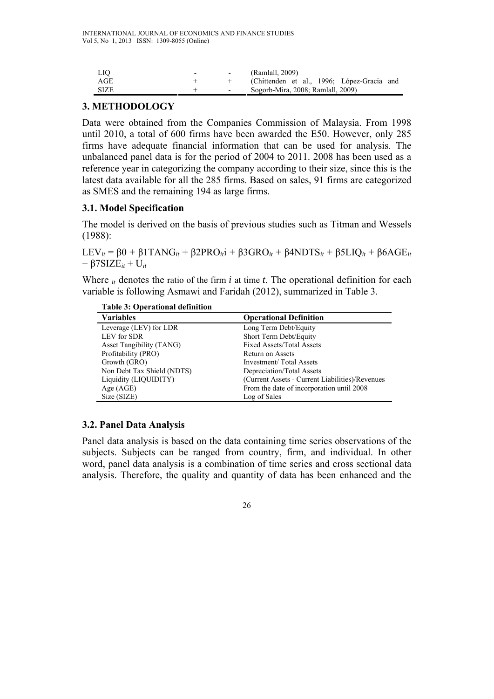| LIO.        | $\overline{\phantom{0}}$ | $\sim$                   | (Ramlall, 2009)                            |
|-------------|--------------------------|--------------------------|--------------------------------------------|
| AGE         |                          |                          | (Chittenden et al., 1996; López-Gracia and |
| <b>SIZE</b> |                          | $\overline{\phantom{0}}$ | Sogorb-Mira, 2008; Ramlall, 2009)          |

### **3. METHODOLOGY**

Data were obtained from the Companies Commission of Malaysia. From 1998 until 2010, a total of 600 firms have been awarded the E50. However, only 285 firms have adequate financial information that can be used for analysis. The unbalanced panel data is for the period of 2004 to 2011. 2008 has been used as a reference year in categorizing the company according to their size, since this is the latest data available for all the 285 firms. Based on sales, 91 firms are categorized as SMES and the remaining 194 as large firms.

### **3.1. Model Specification**

The model is derived on the basis of previous studies such as Titman and Wessels (1988):

LEV*it* = β0 + β1TANG*it* + β2PRO*it*i + β3GRO*it* + β4NDTS*it* + β5LIQ*it* + β6AGE*it*  $+$  β7SIZE<sub>*it*</sub> + U<sub>*it*</sub>

Where *it* denotes the ratio of the firm *i* at time *t*. The operational definition for each variable is following Asmawi and Faridah (2012), summarized in Table 3.

| <b>Table 3: Operational definition</b> |  |
|----------------------------------------|--|
|----------------------------------------|--|

| <b>Variables</b>           | <b>Operational Definition</b>                   |
|----------------------------|-------------------------------------------------|
| Leverage (LEV) for LDR     | Long Term Debt/Equity                           |
| LEV for SDR                | Short Term Debt/Equity                          |
| Asset Tangibility (TANG)   | <b>Fixed Assets/Total Assets</b>                |
| Profitability (PRO)        | Return on Assets                                |
| Growth (GRO)               | Investment/Total Assets                         |
| Non Debt Tax Shield (NDTS) | Depreciation/Total Assets                       |
| Liquidity (LIQUIDITY)      | (Current Assets - Current Liabilities)/Revenues |
| Age $(AGE)$                | From the date of incorporation until 2008       |
| Size (SIZE)                | Log of Sales                                    |

# **3.2. Panel Data Analysis**

Panel data analysis is based on the data containing time series observations of the subjects. Subjects can be ranged from country, firm, and individual. In other word, panel data analysis is a combination of time series and cross sectional data analysis. Therefore, the quality and quantity of data has been enhanced and the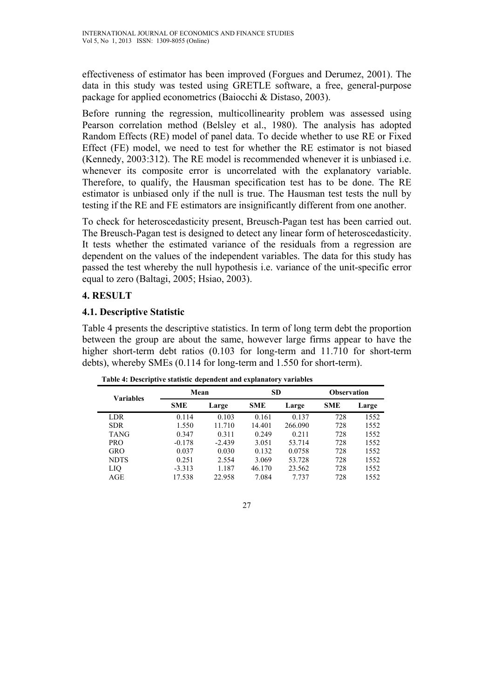effectiveness of estimator has been improved (Forgues and Derumez, 2001). The data in this study was tested using GRETLE software, a free, general-purpose package for applied econometrics (Baiocchi & Distaso, 2003).

Before running the regression, multicollinearity problem was assessed using Pearson correlation method (Belsley et al., 1980). The analysis has adopted Random Effects (RE) model of panel data. To decide whether to use RE or Fixed Effect (FE) model, we need to test for whether the RE estimator is not biased (Kennedy, 2003:312). The RE model is recommended whenever it is unbiased i.e. whenever its composite error is uncorrelated with the explanatory variable. Therefore, to qualify, the Hausman specification test has to be done. The RE estimator is unbiased only if the null is true. The Hausman test tests the null by testing if the RE and FE estimators are insignificantly different from one another.

To check for heteroscedasticity present, Breusch-Pagan test has been carried out. The Breusch-Pagan test is designed to detect any linear form of heteroscedasticity. It tests whether the estimated variance of the residuals from a regression are dependent on the values of the independent variables. The data for this study has passed the test whereby the null hypothesis i.e. variance of the unit-specific error equal to zero (Baltagi, 2005; Hsiao, 2003).

# **4. RESULT**

### **4.1. Descriptive Statistic**

Table 4 presents the descriptive statistics. In term of long term debt the proportion between the group are about the same, however large firms appear to have the higher short-term debt ratios (0.103 for long-term and 11.710 for short-term debts), whereby SMEs (0.114 for long-term and 1.550 for short-term).

| <b>Variables</b> | Mean       |          | <b>SD</b>  |         | <b>Observation</b> |       |
|------------------|------------|----------|------------|---------|--------------------|-------|
|                  | <b>SME</b> | Large    | <b>SME</b> | Large   | <b>SME</b>         | Large |
| LDR              | 0.114      | 0.103    | 0.161      | 0.137   | 728                | 1552  |
| <b>SDR</b>       | 1.550      | 11.710   | 14.401     | 266.090 | 728                | 1552  |
| <b>TANG</b>      | 0.347      | 0.311    | 0.249      | 0.211   | 728                | 1552  |
| <b>PRO</b>       | $-0.178$   | $-2.439$ | 3.051      | 53.714  | 728                | 1552  |
| GRO              | 0.037      | 0.030    | 0.132      | 0.0758  | 728                | 1552  |
| <b>NDTS</b>      | 0.251      | 2.554    | 3.069      | 53.728  | 728                | 1552  |
| LIQ              | $-3.313$   | 1.187    | 46.170     | 23.562  | 728                | 1552  |
| AGE              | 17.538     | 22.958   | 7.084      | 7.737   | 728                | 1552  |

**Table 4: Descriptive statistic dependent and explanatory variables**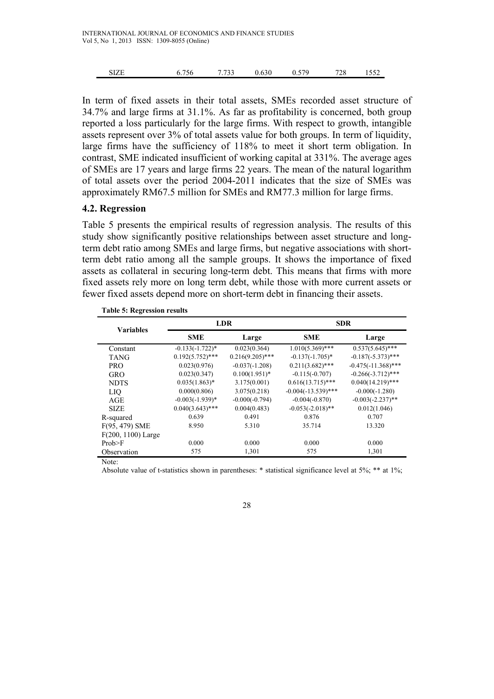| SIZE |  | 6.756 7.733 0.630 0.579 |  |  | 728 1552 |  |
|------|--|-------------------------|--|--|----------|--|
|------|--|-------------------------|--|--|----------|--|

In term of fixed assets in their total assets, SMEs recorded asset structure of 34.7% and large firms at 31.1%. As far as profitability is concerned, both group reported a loss particularly for the large firms. With respect to growth, intangible assets represent over 3% of total assets value for both groups. In term of liquidity, large firms have the sufficiency of 118% to meet it short term obligation. In contrast, SME indicated insufficient of working capital at 331%. The average ages of SMEs are 17 years and large firms 22 years. The mean of the natural logarithm of total assets over the period 2004-2011 indicates that the size of SMEs was approximately RM67.5 million for SMEs and RM77.3 million for large firms.

#### **4.2. Regression**

Table 5 presents the empirical results of regression analysis. The results of this study show significantly positive relationships between asset structure and longterm debt ratio among SMEs and large firms, but negative associations with shortterm debt ratio among all the sample groups. It shows the importance of fixed assets as collateral in securing long-term debt. This means that firms with more fixed assets rely more on long term debt, while those with more current assets or fewer fixed assets depend more on short-term debt in financing their assets.

|                      |                    | <b>LDR</b>         | <b>SDR</b>            |                       |  |
|----------------------|--------------------|--------------------|-----------------------|-----------------------|--|
| <b>Variables</b>     | <b>SME</b>         | Large              | <b>SME</b>            | Large                 |  |
| Constant             | $-0.133(-1.722)*$  | 0.023(0.364)       | $1.010(5.369)$ ***    | $0.537(5.645)$ ***    |  |
| <b>TANG</b>          | $0.192(5.752)$ *** | $0.216(9.205)$ *** | $-0.137(-1.705)^*$    | $-0.187(-5.373)$ ***  |  |
| <b>PRO</b>           | 0.023(0.976)       | $-0.037(-1.208)$   | $0.211(3.682)$ ***    | $-0.475(-11.368)$ *** |  |
| <b>GRO</b>           | 0.023(0.347)       | $0.100(1.951)*$    | $-0.115(-0.707)$      | $-0.266(-3.712)$ ***  |  |
| <b>NDTS</b>          | $0.035(1.863)*$    | 3.175(0.001)       | $0.616(13.715)$ ***   | $0.040(14.219)$ ***   |  |
| <b>LIO</b>           | 0.000(0.806)       | 3.075(0.218)       | $-0.004(-13.539)$ *** | $-0.000(-1.280)$      |  |
| AGE                  | $-0.003(-1.939)*$  | $-0.000(-0.794)$   | $-0.004(-0.870)$      | $-0.003(-2.237)$ **   |  |
| <b>SIZE</b>          | $0.040(3.643)$ *** | 0.004(0.483)       | $-0.053(-2.018)$ **   | 0.012(1.046)          |  |
| R-squared            | 0.639              | 0.491              | 0.876                 | 0.707                 |  |
| $F(95, 479)$ SME     | 8.950              | 5.310              | 35.714                | 13.320                |  |
| $F(200, 1100)$ Large |                    |                    |                       |                       |  |
| Prob>F               | 0.000              | 0.000              | 0.000                 | 0.000                 |  |
| Observation          | 575                | 1,301              | 575                   | 1,301                 |  |
| Note:                |                    |                    |                       |                       |  |

|  |  | <b>Table 5: Regression results</b> |  |
|--|--|------------------------------------|--|
|--|--|------------------------------------|--|

Absolute value of t-statistics shown in parentheses: \* statistical significance level at 5%; \*\* at 1%;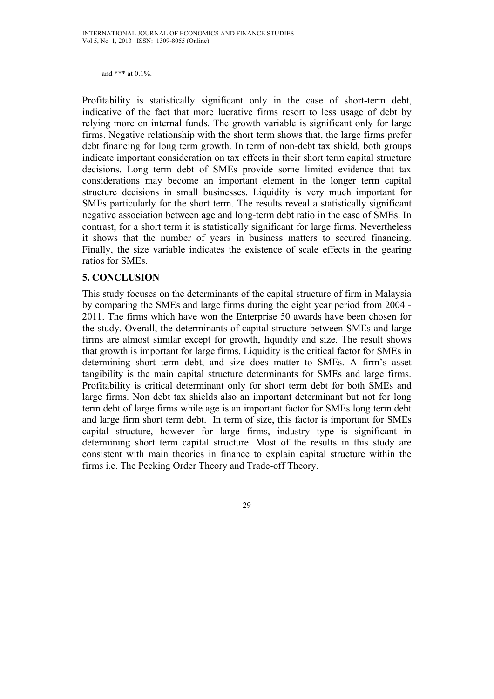and \*\*\* at 0.1%.

Profitability is statistically significant only in the case of short-term debt, indicative of the fact that more lucrative firms resort to less usage of debt by relying more on internal funds. The growth variable is significant only for large firms. Negative relationship with the short term shows that, the large firms prefer debt financing for long term growth. In term of non-debt tax shield, both groups indicate important consideration on tax effects in their short term capital structure decisions. Long term debt of SMEs provide some limited evidence that tax considerations may become an important element in the longer term capital structure decisions in small businesses. Liquidity is very much important for SMEs particularly for the short term. The results reveal a statistically significant negative association between age and long-term debt ratio in the case of SMEs. In contrast, for a short term it is statistically significant for large firms. Nevertheless it shows that the number of years in business matters to secured financing. Finally, the size variable indicates the existence of scale effects in the gearing ratios for SMEs.

#### **5. CONCLUSION**

This study focuses on the determinants of the capital structure of firm in Malaysia by comparing the SMEs and large firms during the eight year period from 2004 - 2011. The firms which have won the Enterprise 50 awards have been chosen for the study. Overall, the determinants of capital structure between SMEs and large firms are almost similar except for growth, liquidity and size. The result shows that growth is important for large firms. Liquidity is the critical factor for SMEs in determining short term debt, and size does matter to SMEs. A firm's asset tangibility is the main capital structure determinants for SMEs and large firms. Profitability is critical determinant only for short term debt for both SMEs and large firms. Non debt tax shields also an important determinant but not for long term debt of large firms while age is an important factor for SMEs long term debt and large firm short term debt. In term of size, this factor is important for SMEs capital structure, however for large firms, industry type is significant in determining short term capital structure. Most of the results in this study are consistent with main theories in finance to explain capital structure within the firms i.e. The Pecking Order Theory and Trade-off Theory.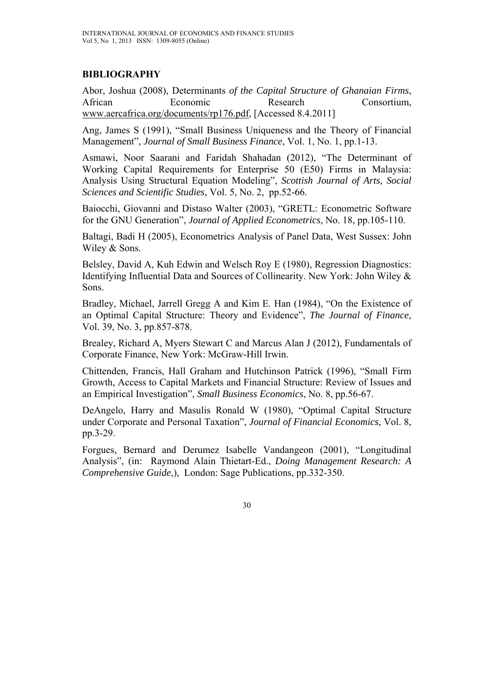# **BIBLIOGRAPHY**

Abor, Joshua (2008), Determinants *of the Capital Structure of Ghanaian Firms*, African Economic Research Consortium, www.aercafrica.org/documents/rp176.pdf, [Accessed 8.4.2011]

Ang, James S (1991), "Small Business Uniqueness and the Theory of Financial Management", *Journal of Small Business Finance*, Vol. 1, No. 1, pp.1-13.

Asmawi, Noor Saarani and Faridah Shahadan (2012), "The Determinant of Working Capital Requirements for Enterprise 50 (E50) Firms in Malaysia: Analysis Using Structural Equation Modeling", *Scottish Journal of Arts, Social Sciences and Scientific Studies*, Vol. 5, No. 2, pp.52-66.

Baiocchi, Giovanni and Distaso Walter (2003), "GRETL: Econometric Software for the GNU Generation", *Journal of Applied Econometrics*, No. 18, pp.105-110.

Baltagi, Badi H (2005), Econometrics Analysis of Panel Data, West Sussex: John Wiley & Sons.

Belsley, David A, Kuh Edwin and Welsch Roy E (1980), Regression Diagnostics: Identifying Influential Data and Sources of Collinearity. New York: John Wiley & Sons.

Bradley, Michael, Jarrell Gregg A and Kim E. Han (1984), "On the Existence of an Optimal Capital Structure: Theory and Evidence", *The Journal of Finance*, Vol. 39, No. 3, pp.857-878.

Brealey, Richard A, Myers Stewart C and Marcus Alan J (2012), Fundamentals of Corporate Finance, New York: McGraw-Hill Irwin.

Chittenden, Francis, Hall Graham and Hutchinson Patrick (1996), "Small Firm Growth, Access to Capital Markets and Financial Structure: Review of Issues and an Empirical Investigation", *Small Business Economics*, No. 8, pp.56-67.

DeAngelo, Harry and Masulis Ronald W (1980), "Optimal Capital Structure under Corporate and Personal Taxation", *Journal of Financial Economics*, Vol. 8, pp.3-29.

Forgues, Bernard and Derumez Isabelle Vandangeon (2001), "Longitudinal Analysis", (in: Raymond Alain Thietart-Ed., *Doing Management Research: A Comprehensive Guide*,), London: Sage Publications, pp.332-350.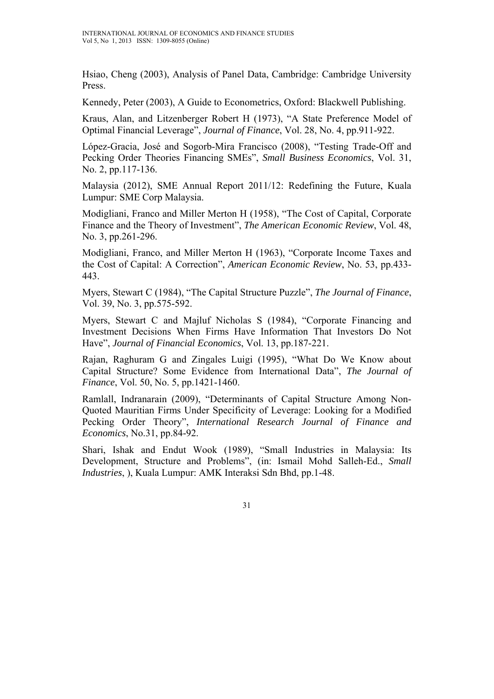Hsiao, Cheng (2003), Analysis of Panel Data, Cambridge: Cambridge University Press.

Kennedy, Peter (2003), A Guide to Econometrics, Oxford: Blackwell Publishing.

Kraus, Alan, and Litzenberger Robert H (1973), "A State Preference Model of Optimal Financial Leverage", *Journal of Finance*, Vol. 28, No. 4, pp.911-922.

López-Gracia, José and Sogorb-Mira Francisco (2008), "Testing Trade-Off and Pecking Order Theories Financing SMEs", *Small Business Economics*, Vol. 31, No. 2, pp.117-136.

Malaysia (2012), SME Annual Report 2011/12: Redefining the Future, Kuala Lumpur: SME Corp Malaysia.

Modigliani, Franco and Miller Merton H (1958), "The Cost of Capital, Corporate Finance and the Theory of Investment", *The American Economic Review*, Vol. 48, No. 3, pp.261-296.

Modigliani, Franco, and Miller Merton H (1963), "Corporate Income Taxes and the Cost of Capital: A Correction", *American Economic Review*, No. 53, pp.433- 443.

Myers, Stewart C (1984), "The Capital Structure Puzzle", *The Journal of Finance*, Vol. 39, No. 3, pp.575-592.

Myers, Stewart C and Majluf Nicholas S (1984), "Corporate Financing and Investment Decisions When Firms Have Information That Investors Do Not Have", *Journal of Financial Economics*, Vol. 13, pp.187-221.

Rajan, Raghuram G and Zingales Luigi (1995), "What Do We Know about Capital Structure? Some Evidence from International Data", *The Journal of Finance*, Vol. 50, No. 5, pp.1421-1460.

Ramlall, Indranarain (2009), "Determinants of Capital Structure Among Non-Quoted Mauritian Firms Under Specificity of Leverage: Looking for a Modified Pecking Order Theory", *International Research Journal of Finance and Economics*, No.31, pp.84-92.

Shari, Ishak and Endut Wook (1989), "Small Industries in Malaysia: Its Development, Structure and Problems", (in: Ismail Mohd Salleh-Ed., *Small Industries*, ), Kuala Lumpur: AMK Interaksi Sdn Bhd, pp.1-48.